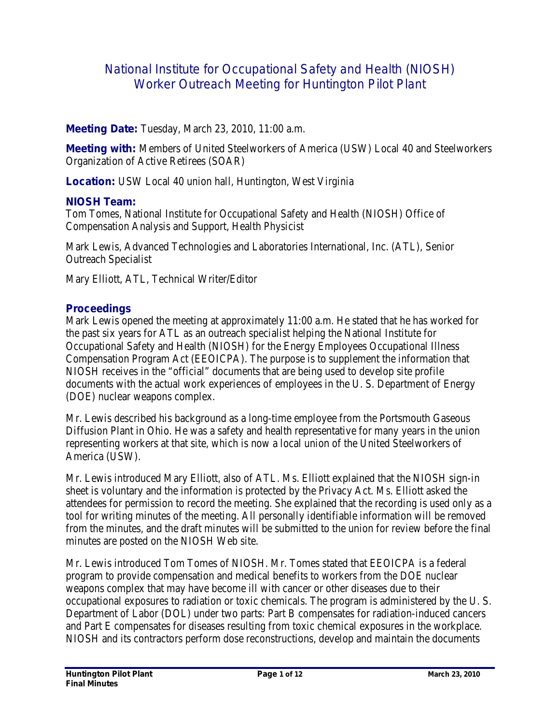# National Institute for Occupational Safety and Health (NIOSH) Worker Outreach Meeting for Huntington Pilot Plant

# **Meeting Date:** Tuesday, March 23, 2010, 11:00 a.m.

**Meeting with:** Members of United Steelworkers of America (USW) Local 40 and Steelworkers Organization of Active Retirees (SOAR)

**Location:** USW Local 40 union hall, Huntington, West Virginia

# **NIOSH Team:**

Tom Tomes, National Institute for Occupational Safety and Health (NIOSH) Office of Compensation Analysis and Support, Health Physicist

Mark Lewis, Advanced Technologies and Laboratories International, Inc. (ATL), Senior Outreach Specialist

Mary Elliott, ATL, Technical Writer/Editor

# **Proceedings**

Mark Lewis opened the meeting at approximately 11:00 a.m. He stated that he has worked for the past six years for ATL as an outreach specialist helping the National Institute for Occupational Safety and Health (NIOSH) for the Energy Employees Occupational Illness Compensation Program Act (EEOICPA). The purpose is to supplement the information that NIOSH receives in the "official" documents that are being used to develop site profile documents with the actual work experiences of employees in the U. S. Department of Energy (DOE) nuclear weapons complex.

Mr. Lewis described his background as a long-time employee from the Portsmouth Gaseous Diffusion Plant in Ohio. He was a safety and health representative for many years in the union representing workers at that site, which is now a local union of the United Steelworkers of America (USW).

Mr. Lewis introduced Mary Elliott, also of ATL. Ms. Elliott explained that the NIOSH sign-in sheet is voluntary and the information is protected by the Privacy Act. Ms. Elliott asked the attendees for permission to record the meeting. She explained that the recording is used only as a tool for writing minutes of the meeting. All personally identifiable information will be removed from the minutes, and the draft minutes will be submitted to the union for review before the final minutes are posted on the NIOSH Web site.

Mr. Lewis introduced Tom Tomes of NIOSH. Mr. Tomes stated that EEOICPA is a federal program to provide compensation and medical benefits to workers from the DOE nuclear weapons complex that may have become ill with cancer or other diseases due to their occupational exposures to radiation or toxic chemicals. The program is administered by the U. S. Department of Labor (DOL) under two parts: Part B compensates for radiation-induced cancers and Part E compensates for diseases resulting from toxic chemical exposures in the workplace. NIOSH and its contractors perform dose reconstructions, develop and maintain the documents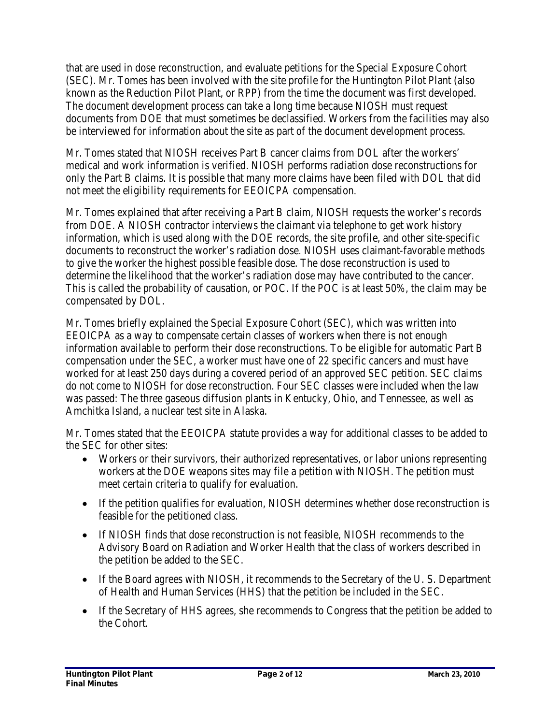that are used in dose reconstruction, and evaluate petitions for the Special Exposure Cohort (SEC). Mr. Tomes has been involved with the site profile for the Huntington Pilot Plant (also known as the Reduction Pilot Plant, or RPP) from the time the document was first developed. The document development process can take a long time because NIOSH must request documents from DOE that must sometimes be declassified. Workers from the facilities may also be interviewed for information about the site as part of the document development process.

Mr. Tomes stated that NIOSH receives Part B cancer claims from DOL after the workers' medical and work information is verified. NIOSH performs radiation dose reconstructions for only the Part B claims. It is possible that many more claims have been filed with DOL that did not meet the eligibility requirements for EEOICPA compensation.

Mr. Tomes explained that after receiving a Part B claim, NIOSH requests the worker's records from DOE. A NIOSH contractor interviews the claimant via telephone to get work history information, which is used along with the DOE records, the site profile, and other site-specific documents to reconstruct the worker's radiation dose. NIOSH uses claimant-favorable methods to give the worker the highest possible feasible dose. The dose reconstruction is used to determine the likelihood that the worker's radiation dose may have contributed to the cancer. This is called the probability of causation, or POC. If the POC is at least 50%, the claim may be compensated by DOL.

Mr. Tomes briefly explained the Special Exposure Cohort (SEC), which was written into EEOICPA as a way to compensate certain classes of workers when there is not enough information available to perform their dose reconstructions. To be eligible for automatic Part B compensation under the SEC, a worker must have one of 22 specific cancers and must have worked for at least 250 days during a covered period of an approved SEC petition. SEC claims do not come to NIOSH for dose reconstruction. Four SEC classes were included when the law was passed: The three gaseous diffusion plants in Kentucky, Ohio, and Tennessee, as well as Amchitka Island, a nuclear test site in Alaska.

Mr. Tomes stated that the EEOICPA statute provides a way for additional classes to be added to the SEC for other sites:

- Workers or their survivors, their authorized representatives, or labor unions representing workers at the DOE weapons sites may file a petition with NIOSH. The petition must meet certain criteria to qualify for evaluation.
- If the petition qualifies for evaluation, NIOSH determines whether dose reconstruction is feasible for the petitioned class.
- If NIOSH finds that dose reconstruction is not feasible, NIOSH recommends to the Advisory Board on Radiation and Worker Health that the class of workers described in the petition be added to the SEC.
- If the Board agrees with NIOSH, it recommends to the Secretary of the U.S. Department of Health and Human Services (HHS) that the petition be included in the SEC.
- If the Secretary of HHS agrees, she recommends to Congress that the petition be added to the Cohort.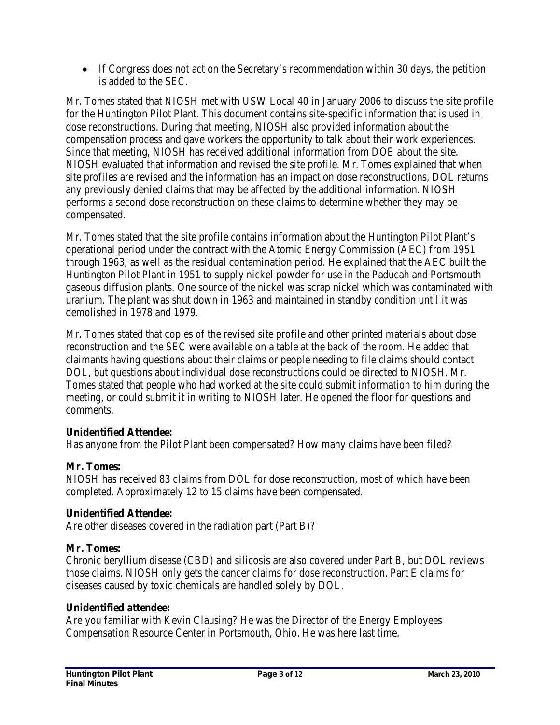• If Congress does not act on the Secretary's recommendation within 30 days, the petition is added to the SEC.

Mr. Tomes stated that NIOSH met with USW Local 40 in January 2006 to discuss the site profile for the Huntington Pilot Plant. This document contains site-specific information that is used in dose reconstructions. During that meeting, NIOSH also provided information about the compensation process and gave workers the opportunity to talk about their work experiences. Since that meeting, NIOSH has received additional information from DOE about the site. NIOSH evaluated that information and revised the site profile. Mr. Tomes explained that when site profiles are revised and the information has an impact on dose reconstructions, DOL returns any previously denied claims that may be affected by the additional information. NIOSH performs a second dose reconstruction on these claims to determine whether they may be compensated.

Mr. Tomes stated that the site profile contains information about the Huntington Pilot Plant's operational period under the contract with the Atomic Energy Commission (AEC) from 1951 through 1963, as well as the residual contamination period. He explained that the AEC built the Huntington Pilot Plant in 1951 to supply nickel powder for use in the Paducah and Portsmouth gaseous diffusion plants. One source of the nickel was scrap nickel which was contaminated with uranium. The plant was shut down in 1963 and maintained in standby condition until it was demolished in 1978 and 1979.

Mr. Tomes stated that copies of the revised site profile and other printed materials about dose reconstruction and the SEC were available on a table at the back of the room. He added that claimants having questions about their claims or people needing to file claims should contact DOL, but questions about individual dose reconstructions could be directed to NIOSH. Mr. Tomes stated that people who had worked at the site could submit information to him during the meeting, or could submit it in writing to NIOSH later. He opened the floor for questions and comments.

# **Unidentified Attendee:**

Has anyone from the Pilot Plant been compensated? How many claims have been filed?

# **Mr. Tomes:**

NIOSH has received 83 claims from DOL for dose reconstruction, most of which have been completed. Approximately 12 to 15 claims have been compensated.

## **Unidentified Attendee:**

Are other diseases covered in the radiation part (Part B)?

## **Mr. Tomes:**

Chronic beryllium disease (CBD) and silicosis are also covered under Part B, but DOL reviews those claims. NIOSH only gets the cancer claims for dose reconstruction. Part E claims for diseases caused by toxic chemicals are handled solely by DOL.

## **Unidentified attendee:**

Are you familiar with Kevin Clausing? He was the Director of the Energy Employees Compensation Resource Center in Portsmouth, Ohio. He was here last time.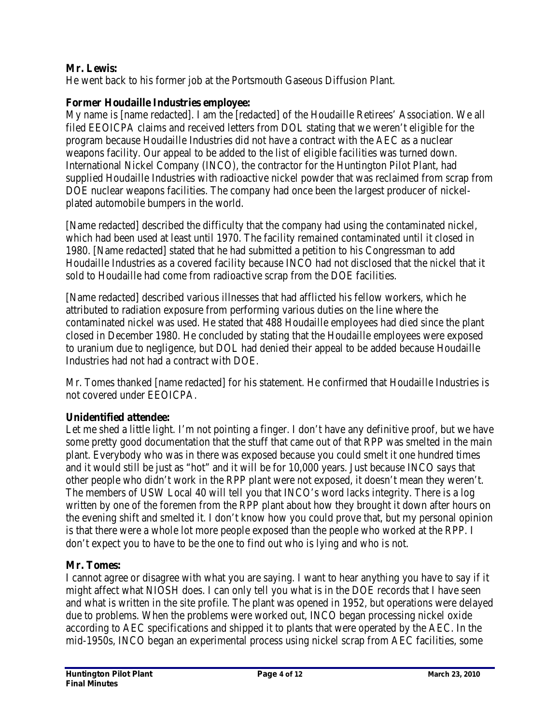# **Mr. Lewis:**

He went back to his former job at the Portsmouth Gaseous Diffusion Plant.

## **Former Houdaille Industries employee:**

My name is [name redacted]. I am the [redacted] of the Houdaille Retirees' Association. We all filed EEOICPA claims and received letters from DOL stating that we weren't eligible for the program because Houdaille Industries did not have a contract with the AEC as a nuclear weapons facility. Our appeal to be added to the list of eligible facilities was turned down. International Nickel Company (INCO), the contractor for the Huntington Pilot Plant, had supplied Houdaille Industries with radioactive nickel powder that was reclaimed from scrap from DOE nuclear weapons facilities. The company had once been the largest producer of nickelplated automobile bumpers in the world.

[Name redacted] described the difficulty that the company had using the contaminated nickel, which had been used at least until 1970. The facility remained contaminated until it closed in 1980. [Name redacted] stated that he had submitted a petition to his Congressman to add Houdaille Industries as a covered facility because INCO had not disclosed that the nickel that it sold to Houdaille had come from radioactive scrap from the DOE facilities.

[Name redacted] described various illnesses that had afflicted his fellow workers, which he attributed to radiation exposure from performing various duties on the line where the contaminated nickel was used. He stated that 488 Houdaille employees had died since the plant closed in December 1980. He concluded by stating that the Houdaille employees were exposed to uranium due to negligence, but DOL had denied their appeal to be added because Houdaille Industries had not had a contract with DOE.

Mr. Tomes thanked [name redacted] for his statement. He confirmed that Houdaille Industries is not covered under EEOICPA.

## **Unidentified attendee:**

Let me shed a little light. I'm not pointing a finger. I don't have any definitive proof, but we have some pretty good documentation that the stuff that came out of that RPP was smelted in the main plant. Everybody who was in there was exposed because you could smelt it one hundred times and it would still be just as "hot" and it will be for 10,000 years. Just because INCO says that other people who didn't work in the RPP plant were not exposed, it doesn't mean they weren't. The members of USW Local 40 will tell you that INCO's word lacks integrity. There is a log written by one of the foremen from the RPP plant about how they brought it down after hours on the evening shift and smelted it. I don't know how you could prove that, but my personal opinion is that there were a whole lot more people exposed than the people who worked at the RPP. I don't expect you to have to be the one to find out who is lying and who is not.

### **Mr. Tomes:**

I cannot agree or disagree with what you are saying. I want to hear anything you have to say if it might affect what NIOSH does. I can only tell you what is in the DOE records that I have seen and what is written in the site profile. The plant was opened in 1952, but operations were delayed due to problems. When the problems were worked out, INCO began processing nickel oxide according to AEC specifications and shipped it to plants that were operated by the AEC. In the mid-1950s, INCO began an experimental process using nickel scrap from AEC facilities, some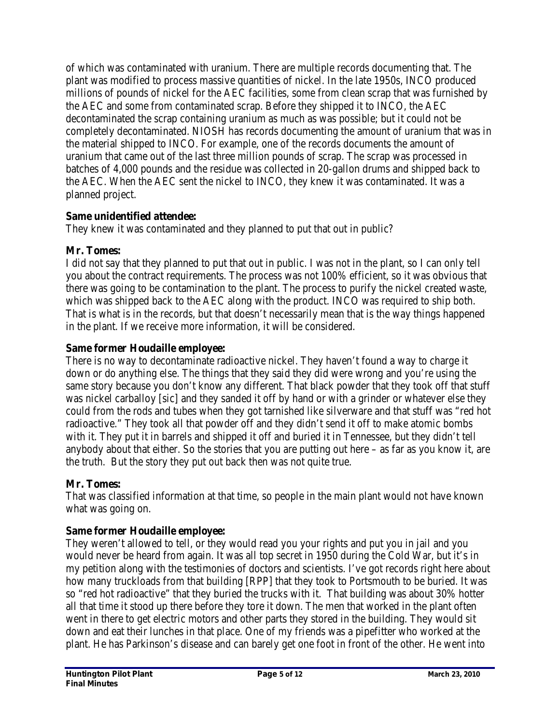of which was contaminated with uranium. There are multiple records documenting that. The plant was modified to process massive quantities of nickel. In the late 1950s, INCO produced millions of pounds of nickel for the AEC facilities, some from clean scrap that was furnished by the AEC and some from contaminated scrap. Before they shipped it to INCO, the AEC decontaminated the scrap containing uranium as much as was possible; but it could not be completely decontaminated. NIOSH has records documenting the amount of uranium that was in the material shipped to INCO. For example, one of the records documents the amount of uranium that came out of the last three million pounds of scrap. The scrap was processed in batches of 4,000 pounds and the residue was collected in 20-gallon drums and shipped back to the AEC. When the AEC sent the nickel to INCO, they knew it was contaminated. It was a planned project.

# **Same unidentified attendee:**

They knew it was contaminated and they planned to put that out in public?

## **Mr. Tomes:**

I did not say that they planned to put that out in public. I was not in the plant, so I can only tell you about the contract requirements. The process was not 100% efficient, so it was obvious that there was going to be contamination to the plant. The process to purify the nickel created waste, which was shipped back to the AEC along with the product. INCO was required to ship both. That is what is in the records, but that doesn't necessarily mean that is the way things happened in the plant. If we receive more information, it will be considered.

## **Same former Houdaille employee:**

There is no way to decontaminate radioactive nickel. They haven't found a way to charge it down or do anything else. The things that they said they did were wrong and you're using the same story because you don't know any different. That black powder that they took off that stuff was nickel carballoy [sic] and they sanded it off by hand or with a grinder or whatever else they could from the rods and tubes when they got tarnished like silverware and that stuff was "red hot radioactive." They took all that powder off and they didn't send it off to make atomic bombs with it. They put it in barrels and shipped it off and buried it in Tennessee, but they didn't tell anybody about that either. So the stories that you are putting out here – as far as you know it, are the truth. But the story they put out back then was not quite true.

## **Mr. Tomes:**

That was classified information at that time, so people in the main plant would not have known what was going on.

# **Same former Houdaille employee:**

They weren't allowed to tell, or they would read you your rights and put you in jail and you would never be heard from again. It was all top secret in 1950 during the Cold War, but it's in my petition along with the testimonies of doctors and scientists. I've got records right here about how many truckloads from that building [RPP] that they took to Portsmouth to be buried. It was so "red hot radioactive" that they buried the trucks with it. That building was about 30% hotter all that time it stood up there before they tore it down. The men that worked in the plant often went in there to get electric motors and other parts they stored in the building. They would sit down and eat their lunches in that place. One of my friends was a pipefitter who worked at the plant. He has Parkinson's disease and can barely get one foot in front of the other. He went into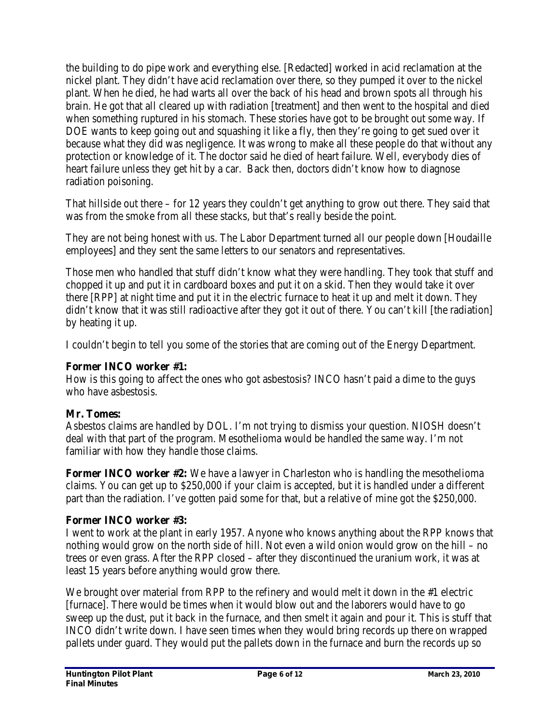the building to do pipe work and everything else. [Redacted] worked in acid reclamation at the nickel plant. They didn't have acid reclamation over there, so they pumped it over to the nickel plant. When he died, he had warts all over the back of his head and brown spots all through his brain. He got that all cleared up with radiation [treatment] and then went to the hospital and died when something ruptured in his stomach. These stories have got to be brought out some way. If DOE wants to keep going out and squashing it like a fly, then they're going to get sued over it because what they did was negligence. It was wrong to make all these people do that without any protection or knowledge of it. The doctor said he died of heart failure. Well, everybody dies of heart failure unless they get hit by a car. Back then, doctors didn't know how to diagnose radiation poisoning.

That hillside out there – for 12 years they couldn't get anything to grow out there. They said that was from the smoke from all these stacks, but that's really beside the point.

They are not being honest with us. The Labor Department turned all our people down [Houdaille employees] and they sent the same letters to our senators and representatives.

Those men who handled that stuff didn't know what they were handling. They took that stuff and chopped it up and put it in cardboard boxes and put it on a skid. Then they would take it over there [RPP] at night time and put it in the electric furnace to heat it up and melt it down. They didn't know that it was still radioactive after they got it out of there. You can't kill [the radiation] by heating it up.

I couldn't begin to tell you some of the stories that are coming out of the Energy Department.

# **Former INCO worker #1:**

How is this going to affect the ones who got asbestosis? INCO hasn't paid a dime to the guys who have asbestosis.

# **Mr. Tomes:**

Asbestos claims are handled by DOL. I'm not trying to dismiss your question. NIOSH doesn't deal with that part of the program. Mesothelioma would be handled the same way. I'm not familiar with how they handle those claims.

**Former INCO worker #2:** We have a lawyer in Charleston who is handling the mesothelioma claims. You can get up to \$250,000 if your claim is accepted, but it is handled under a different part than the radiation. I've gotten paid some for that, but a relative of mine got the \$250,000.

# **Former INCO worker #3:**

I went to work at the plant in early 1957. Anyone who knows anything about the RPP knows that nothing would grow on the north side of hill. Not even a wild onion would grow on the hill – no trees or even grass. After the RPP closed – after they discontinued the uranium work, it was at least 15 years before anything would grow there.

We brought over material from RPP to the refinery and would melt it down in the #1 electric [furnace]. There would be times when it would blow out and the laborers would have to go sweep up the dust, put it back in the furnace, and then smelt it again and pour it. This is stuff that INCO didn't write down. I have seen times when they would bring records up there on wrapped pallets under guard. They would put the pallets down in the furnace and burn the records up so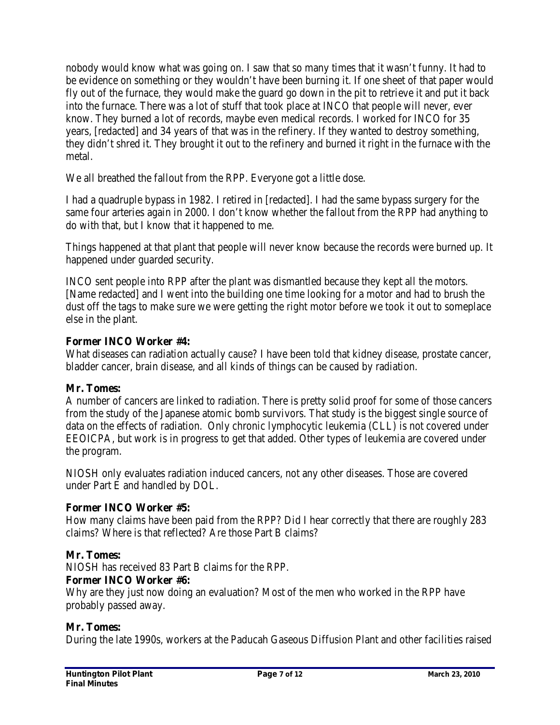nobody would know what was going on. I saw that so many times that it wasn't funny. It had to be evidence on something or they wouldn't have been burning it. If one sheet of that paper would fly out of the furnace, they would make the guard go down in the pit to retrieve it and put it back into the furnace. There was a lot of stuff that took place at INCO that people will never, ever know. They burned a lot of records, maybe even medical records. I worked for INCO for 35 years, [redacted] and 34 years of that was in the refinery. If they wanted to destroy something, they didn't shred it. They brought it out to the refinery and burned it right in the furnace with the metal.

We all breathed the fallout from the RPP. Everyone got a little dose.

I had a quadruple bypass in 1982. I retired in [redacted]. I had the same bypass surgery for the same four arteries again in 2000. I don't know whether the fallout from the RPP had anything to do with that, but I know that it happened to me.

Things happened at that plant that people will never know because the records were burned up. It happened under guarded security.

INCO sent people into RPP after the plant was dismantled because they kept all the motors. [Name redacted] and I went into the building one time looking for a motor and had to brush the dust off the tags to make sure we were getting the right motor before we took it out to someplace else in the plant.

# **Former INCO Worker #4:**

What diseases can radiation actually cause? I have been told that kidney disease, prostate cancer, bladder cancer, brain disease, and all kinds of things can be caused by radiation.

## **Mr. Tomes:**

A number of cancers are linked to radiation. There is pretty solid proof for some of those cancers from the study of the Japanese atomic bomb survivors. That study is the biggest single source of data on the effects of radiation. Only chronic lymphocytic leukemia (CLL) is not covered under EEOICPA, but work is in progress to get that added. Other types of leukemia are covered under the program.

NIOSH only evaluates radiation induced cancers, not any other diseases. Those are covered under Part E and handled by DOL.

## **Former INCO Worker #5:**

How many claims have been paid from the RPP? Did I hear correctly that there are roughly 283 claims? Where is that reflected? Are those Part B claims?

## **Mr. Tomes:**

NIOSH has received 83 Part B claims for the RPP.

## **Former INCO Worker #6:**

Why are they just now doing an evaluation? Most of the men who worked in the RPP have probably passed away.

## **Mr. Tomes:**

During the late 1990s, workers at the Paducah Gaseous Diffusion Plant and other facilities raised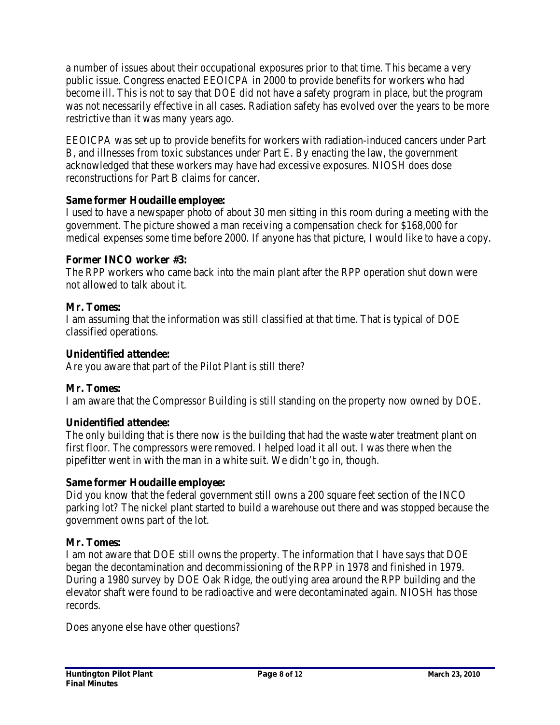a number of issues about their occupational exposures prior to that time. This became a very public issue. Congress enacted EEOICPA in 2000 to provide benefits for workers who had become ill. This is not to say that DOE did not have a safety program in place, but the program was not necessarily effective in all cases. Radiation safety has evolved over the years to be more restrictive than it was many years ago.

EEOICPA was set up to provide benefits for workers with radiation-induced cancers under Part B, and illnesses from toxic substances under Part E. By enacting the law, the government acknowledged that these workers may have had excessive exposures. NIOSH does dose reconstructions for Part B claims for cancer.

# **Same former Houdaille employee:**

I used to have a newspaper photo of about 30 men sitting in this room during a meeting with the government. The picture showed a man receiving a compensation check for \$168,000 for medical expenses some time before 2000. If anyone has that picture, I would like to have a copy.

# **Former INCO worker #3:**

The RPP workers who came back into the main plant after the RPP operation shut down were not allowed to talk about it.

# **Mr. Tomes:**

I am assuming that the information was still classified at that time. That is typical of DOE classified operations.

# **Unidentified attendee:**

Are you aware that part of the Pilot Plant is still there?

# **Mr. Tomes:**

I am aware that the Compressor Building is still standing on the property now owned by DOE.

# **Unidentified attendee:**

The only building that is there now is the building that had the waste water treatment plant on first floor. The compressors were removed. I helped load it all out. I was there when the pipefitter went in with the man in a white suit. We didn't go in, though.

## **Same former Houdaille employee:**

Did you know that the federal government still owns a 200 square feet section of the INCO parking lot? The nickel plant started to build a warehouse out there and was stopped because the government owns part of the lot.

## **Mr. Tomes:**

I am not aware that DOE still owns the property. The information that I have says that DOE began the decontamination and decommissioning of the RPP in 1978 and finished in 1979. During a 1980 survey by DOE Oak Ridge, the outlying area around the RPP building and the elevator shaft were found to be radioactive and were decontaminated again. NIOSH has those records.

Does anyone else have other questions?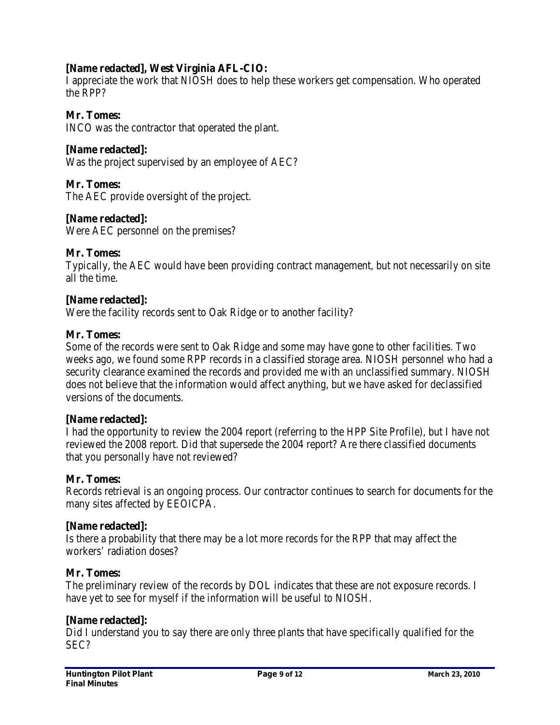# **[Name redacted], West Virginia AFL-CIO:**

I appreciate the work that NIOSH does to help these workers get compensation. Who operated the RPP?

## **Mr. Tomes:**

INCO was the contractor that operated the plant.

### **[Name redacted]:**

Was the project supervised by an employee of AEC?

### **Mr. Tomes:**

The AEC provide oversight of the project.

## **[Name redacted]:**

Were AEC personnel on the premises?

## **Mr. Tomes:**

Typically, the AEC would have been providing contract management, but not necessarily on site all the time.

### **[Name redacted]:**

Were the facility records sent to Oak Ridge or to another facility?

### **Mr. Tomes:**

Some of the records were sent to Oak Ridge and some may have gone to other facilities. Two weeks ago, we found some RPP records in a classified storage area. NIOSH personnel who had a security clearance examined the records and provided me with an unclassified summary. NIOSH does not believe that the information would affect anything, but we have asked for declassified versions of the documents.

### **[Name redacted]:**

I had the opportunity to review the 2004 report (referring to the HPP Site Profile), but I have not reviewed the 2008 report. Did that supersede the 2004 report? Are there classified documents that you personally have not reviewed?

### **Mr. Tomes:**

Records retrieval is an ongoing process. Our contractor continues to search for documents for the many sites affected by EEOICPA.

### **[Name redacted]:**

Is there a probability that there may be a lot more records for the RPP that may affect the workers' radiation doses?

### **Mr. Tomes:**

The preliminary review of the records by DOL indicates that these are not exposure records. I have yet to see for myself if the information will be useful to NIOSH.

### **[Name redacted]:**

Did I understand you to say there are only three plants that have specifically qualified for the SEC?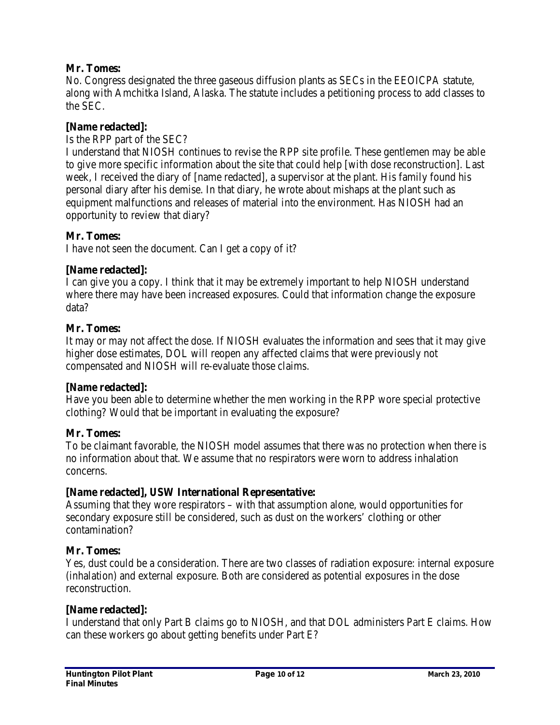## **Mr. Tomes:**

No. Congress designated the three gaseous diffusion plants as SECs in the EEOICPA statute, along with Amchitka Island, Alaska. The statute includes a petitioning process to add classes to the SEC.

## **[Name redacted]:**

## Is the RPP part of the SEC?

I understand that NIOSH continues to revise the RPP site profile. These gentlemen may be able to give more specific information about the site that could help [with dose reconstruction]. Last week, I received the diary of [name redacted], a supervisor at the plant. His family found his personal diary after his demise. In that diary, he wrote about mishaps at the plant such as equipment malfunctions and releases of material into the environment. Has NIOSH had an opportunity to review that diary?

## **Mr. Tomes:**

I have not seen the document. Can I get a copy of it?

## **[Name redacted]:**

I can give you a copy. I think that it may be extremely important to help NIOSH understand where there may have been increased exposures. Could that information change the exposure data?

### **Mr. Tomes:**

It may or may not affect the dose. If NIOSH evaluates the information and sees that it may give higher dose estimates, DOL will reopen any affected claims that were previously not compensated and NIOSH will re-evaluate those claims.

### **[Name redacted]:**

Have you been able to determine whether the men working in the RPP wore special protective clothing? Would that be important in evaluating the exposure?

### **Mr. Tomes:**

To be claimant favorable, the NIOSH model assumes that there was no protection when there is no information about that. We assume that no respirators were worn to address inhalation concerns.

### **[Name redacted], USW International Representative:**

Assuming that they wore respirators – with that assumption alone, would opportunities for secondary exposure still be considered, such as dust on the workers' clothing or other contamination?

## **Mr. Tomes:**

Yes, dust could be a consideration. There are two classes of radiation exposure: internal exposure (inhalation) and external exposure. Both are considered as potential exposures in the dose reconstruction.

### **[Name redacted]:**

I understand that only Part B claims go to NIOSH, and that DOL administers Part E claims. How can these workers go about getting benefits under Part E?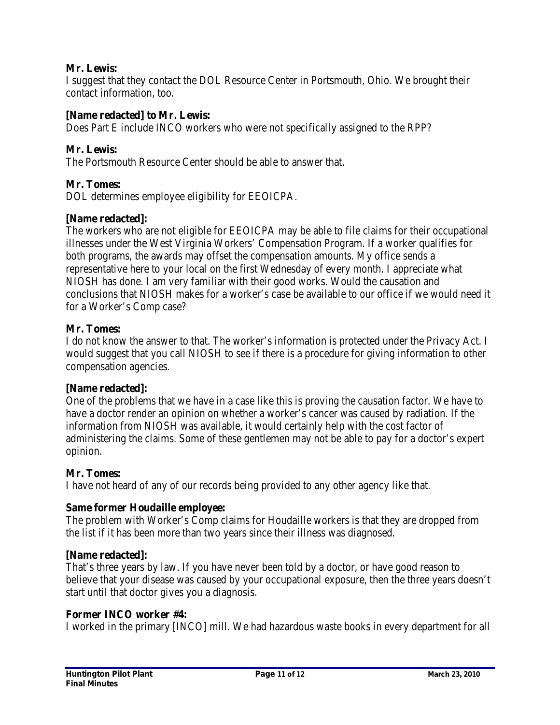## **Mr. Lewis:**

I suggest that they contact the DOL Resource Center in Portsmouth, Ohio. We brought their contact information, too.

## **[Name redacted] to Mr. Lewis:**

Does Part E include INCO workers who were not specifically assigned to the RPP?

## **Mr. Lewis:**

The Portsmouth Resource Center should be able to answer that.

## **Mr. Tomes:**

DOL determines employee eligibility for EEOICPA.

## **[Name redacted]:**

The workers who are not eligible for EEOICPA may be able to file claims for their occupational illnesses under the West Virginia Workers' Compensation Program. If a worker qualifies for both programs, the awards may offset the compensation amounts. My office sends a representative here to your local on the first Wednesday of every month. I appreciate what NIOSH has done. I am very familiar with their good works. Would the causation and conclusions that NIOSH makes for a worker's case be available to our office if we would need it for a Worker's Comp case?

### **Mr. Tomes:**

I do not know the answer to that. The worker's information is protected under the Privacy Act. I would suggest that you call NIOSH to see if there is a procedure for giving information to other compensation agencies.

### **[Name redacted]:**

One of the problems that we have in a case like this is proving the causation factor. We have to have a doctor render an opinion on whether a worker's cancer was caused by radiation. If the information from NIOSH was available, it would certainly help with the cost factor of administering the claims. Some of these gentlemen may not be able to pay for a doctor's expert opinion.

### **Mr. Tomes:**

I have not heard of any of our records being provided to any other agency like that.

### **Same former Houdaille employee:**

The problem with Worker's Comp claims for Houdaille workers is that they are dropped from the list if it has been more than two years since their illness was diagnosed.

### **[Name redacted]:**

That's three years by law. If you have never been told by a doctor, or have good reason to believe that your disease was caused by your occupational exposure, then the three years doesn't start until that doctor gives you a diagnosis.

### **Former INCO worker #4:**

I worked in the primary [INCO] mill. We had hazardous waste books in every department for all